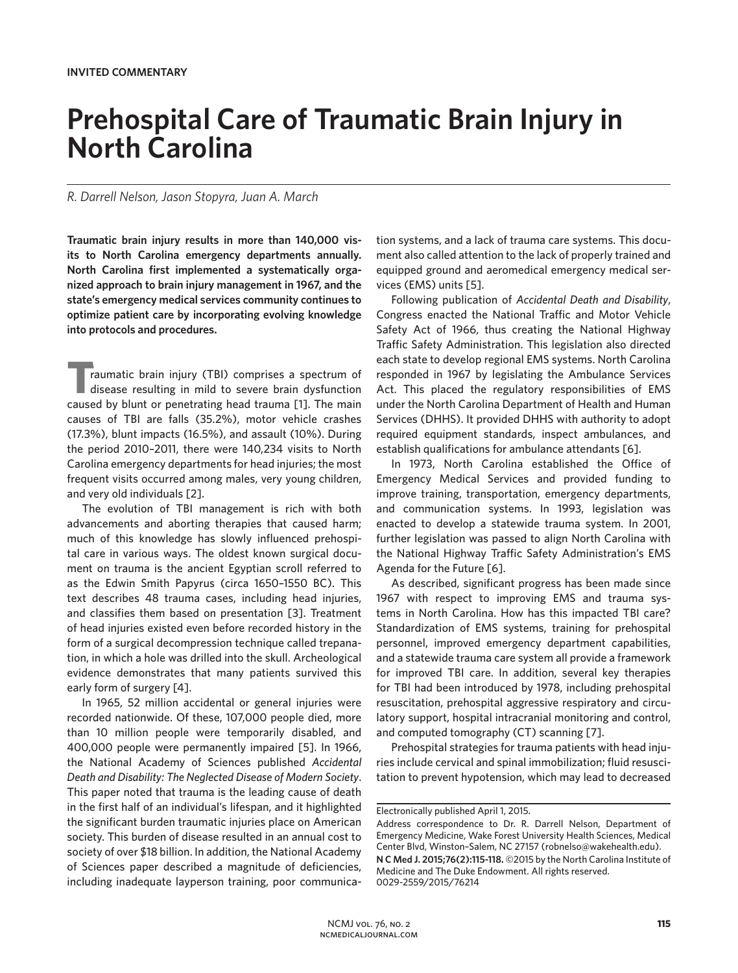# **Prehospital Care of Traumatic Brain Injury in North Carolina**

## *R. Darrell Nelson, Jason Stopyra, Juan A. March*

**Traumatic brain injury results in more than 140,000 visits to North Carolina emergency departments annually. North Carolina first implemented a systematically organized approach to brain injury management in 1967, and the state's emergency medical services community continues to optimize patient care by incorporating evolving knowledge into protocols and procedures.**

**T**raumatic brain injury (TBI) comprises a spectrum of disease resulting in mild to severe brain dysfunction caused by blunt or penetrating head trauma [1]. The main causes of TBI are falls (35.2%), motor vehicle crashes (17.3%), blunt impacts (16.5%), and assault (10%). During the period 2010–2011, there were 140,234 visits to North Carolina emergency departments for head injuries; the most frequent visits occurred among males, very young children, and very old individuals [2].

The evolution of TBI management is rich with both advancements and aborting therapies that caused harm; much of this knowledge has slowly influenced prehospital care in various ways. The oldest known surgical document on trauma is the ancient Egyptian scroll referred to as the Edwin Smith Papyrus (circa 1650–1550 BC). This text describes 48 trauma cases, including head injuries, and classifies them based on presentation [3]. Treatment of head injuries existed even before recorded history in the form of a surgical decompression technique called trepanation, in which a hole was drilled into the skull. Archeological evidence demonstrates that many patients survived this early form of surgery [4].

In 1965, 52 million accidental or general injuries were recorded nationwide. Of these, 107,000 people died, more than 10 million people were temporarily disabled, and 400,000 people were permanently impaired [5]. In 1966, the National Academy of Sciences published *Accidental Death and Disability: The Neglected Disease of Modern Society*. This paper noted that trauma is the leading cause of death in the first half of an individual's lifespan, and it highlighted the significant burden traumatic injuries place on American society. This burden of disease resulted in an annual cost to society of over \$18 billion. In addition, the National Academy of Sciences paper described a magnitude of deficiencies, including inadequate layperson training, poor communication systems, and a lack of trauma care systems. This document also called attention to the lack of properly trained and equipped ground and aeromedical emergency medical services (EMS) units [5].

Following publication of *Accidental Death and Disability*, Congress enacted the National Traffic and Motor Vehicle Safety Act of 1966, thus creating the National Highway Traffic Safety Administration. This legislation also directed each state to develop regional EMS systems. North Carolina responded in 1967 by legislating the Ambulance Services Act. This placed the regulatory responsibilities of EMS under the North Carolina Department of Health and Human Services (DHHS). It provided DHHS with authority to adopt required equipment standards, inspect ambulances, and establish qualifications for ambulance attendants [6].

In 1973, North Carolina established the Office of Emergency Medical Services and provided funding to improve training, transportation, emergency departments, and communication systems. In 1993, legislation was enacted to develop a statewide trauma system. In 2001, further legislation was passed to align North Carolina with the National Highway Traffic Safety Administration's EMS Agenda for the Future [6].

As described, significant progress has been made since 1967 with respect to improving EMS and trauma systems in North Carolina. How has this impacted TBI care? Standardization of EMS systems, training for prehospital personnel, improved emergency department capabilities, and a statewide trauma care system all provide a framework for improved TBI care. In addition, several key therapies for TBI had been introduced by 1978, including prehospital resuscitation, prehospital aggressive respiratory and circulatory support, hospital intracranial monitoring and control, and computed tomography (CT) scanning [7].

Prehospital strategies for trauma patients with head injuries include cervical and spinal immobilization; fluid resuscitation to prevent hypotension, which may lead to decreased

Electronically published April 1, 2015.

Address correspondence to Dr. R. Darrell Nelson, Department of Emergency Medicine, Wake Forest University Health Sciences, Medical Center Blvd, Winston–Salem, NC 27157 (robnelso@wakehealth.edu).

**N C Med J. 2015;76(2):115-118.** ©2015 by the North Carolina Institute of Medicine and The Duke Endowment. All rights reserved. 0029-2559/2015/76214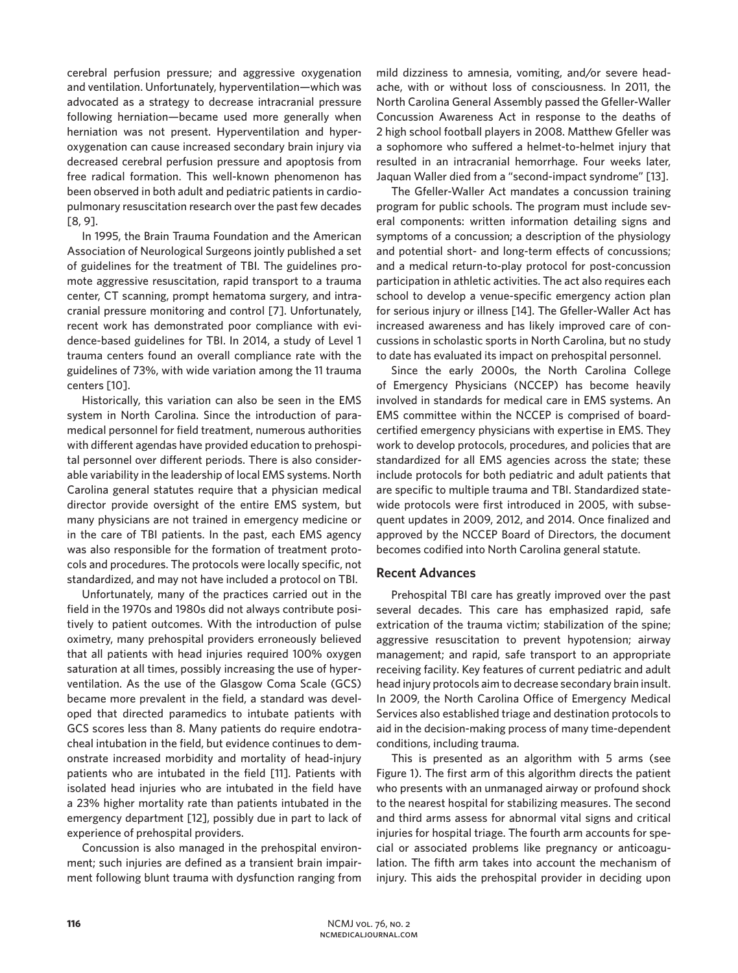cerebral perfusion pressure; and aggressive oxygenation and ventilation. Unfortunately, hyperventilation—which was advocated as a strategy to decrease intracranial pressure following herniation—became used more generally when herniation was not present. Hyperventilation and hyperoxygenation can cause increased secondary brain injury via decreased cerebral perfusion pressure and apoptosis from free radical formation. This well-known phenomenon has been observed in both adult and pediatric patients in cardiopulmonary resuscitation research over the past few decades [8, 9].

In 1995, the Brain Trauma Foundation and the American Association of Neurological Surgeons jointly published a set of guidelines for the treatment of TBI. The guidelines promote aggressive resuscitation, rapid transport to a trauma center, CT scanning, prompt hematoma surgery, and intracranial pressure monitoring and control [7]. Unfortunately, recent work has demonstrated poor compliance with evidence-based guidelines for TBI. In 2014, a study of Level 1 trauma centers found an overall compliance rate with the guidelines of 73%, with wide variation among the 11 trauma centers [10].

Historically, this variation can also be seen in the EMS system in North Carolina. Since the introduction of paramedical personnel for field treatment, numerous authorities with different agendas have provided education to prehospital personnel over different periods. There is also considerable variability in the leadership of local EMS systems. North Carolina general statutes require that a physician medical director provide oversight of the entire EMS system, but many physicians are not trained in emergency medicine or in the care of TBI patients. In the past, each EMS agency was also responsible for the formation of treatment protocols and procedures. The protocols were locally specific, not standardized, and may not have included a protocol on TBI.

Unfortunately, many of the practices carried out in the field in the 1970s and 1980s did not always contribute positively to patient outcomes. With the introduction of pulse oximetry, many prehospital providers erroneously believed that all patients with head injuries required 100% oxygen saturation at all times, possibly increasing the use of hyperventilation. As the use of the Glasgow Coma Scale (GCS) became more prevalent in the field, a standard was developed that directed paramedics to intubate patients with GCS scores less than 8. Many patients do require endotracheal intubation in the field, but evidence continues to demonstrate increased morbidity and mortality of head-injury patients who are intubated in the field [11]. Patients with isolated head injuries who are intubated in the field have a 23% higher mortality rate than patients intubated in the emergency department [12], possibly due in part to lack of experience of prehospital providers.

Concussion is also managed in the prehospital environment; such injuries are defined as a transient brain impairment following blunt trauma with dysfunction ranging from mild dizziness to amnesia, vomiting, and/or severe headache, with or without loss of consciousness. In 2011, the North Carolina General Assembly passed the Gfeller-Waller Concussion Awareness Act in response to the deaths of 2 high school football players in 2008. Matthew Gfeller was a sophomore who suffered a helmet-to-helmet injury that resulted in an intracranial hemorrhage. Four weeks later, Jaquan Waller died from a "second-impact syndrome" [13].

The Gfeller-Waller Act mandates a concussion training program for public schools. The program must include several components: written information detailing signs and symptoms of a concussion; a description of the physiology and potential short- and long-term effects of concussions; and a medical return-to-play protocol for post-concussion participation in athletic activities. The act also requires each school to develop a venue-specific emergency action plan for serious injury or illness [14]. The Gfeller-Waller Act has increased awareness and has likely improved care of concussions in scholastic sports in North Carolina, but no study to date has evaluated its impact on prehospital personnel.

Since the early 2000s, the North Carolina College of Emergency Physicians (NCCEP) has become heavily involved in standards for medical care in EMS systems. An EMS committee within the NCCEP is comprised of boardcertified emergency physicians with expertise in EMS. They work to develop protocols, procedures, and policies that are standardized for all EMS agencies across the state; these include protocols for both pediatric and adult patients that are specific to multiple trauma and TBI. Standardized statewide protocols were first introduced in 2005, with subsequent updates in 2009, 2012, and 2014. Once finalized and approved by the NCCEP Board of Directors, the document becomes codified into North Carolina general statute.

## **Recent Advances**

Prehospital TBI care has greatly improved over the past several decades. This care has emphasized rapid, safe extrication of the trauma victim; stabilization of the spine; aggressive resuscitation to prevent hypotension; airway management; and rapid, safe transport to an appropriate receiving facility. Key features of current pediatric and adult head injury protocols aim to decrease secondary brain insult. In 2009, the North Carolina Office of Emergency Medical Services also established triage and destination protocols to aid in the decision-making process of many time-dependent conditions, including trauma.

This is presented as an algorithm with 5 arms (see Figure 1). The first arm of this algorithm directs the patient who presents with an unmanaged airway or profound shock to the nearest hospital for stabilizing measures. The second and third arms assess for abnormal vital signs and critical injuries for hospital triage. The fourth arm accounts for special or associated problems like pregnancy or anticoagulation. The fifth arm takes into account the mechanism of injury. This aids the prehospital provider in deciding upon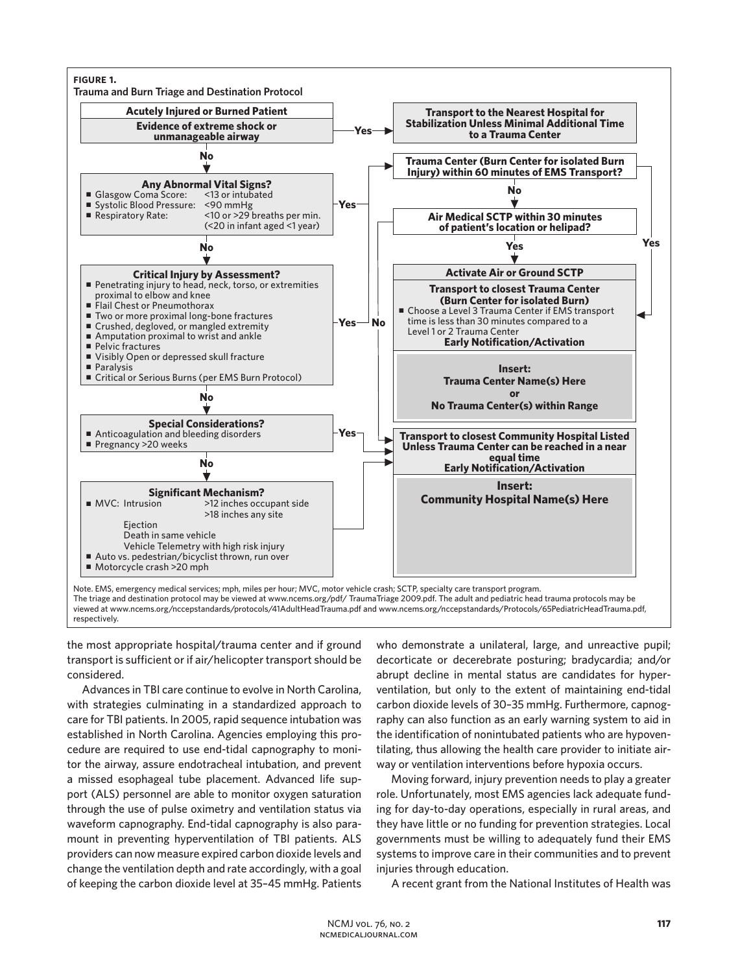

The triage and destination protocol may be viewed at www.ncems.org/pdf/ TraumaTriage 2009.pdf. The adult and pediatric head trauma protocols may be viewed at www.ncems.org/nccepstandards/protocols/41AdultHeadTrauma.pdf and www.ncems.org/nccepstandards/Protocols/65PediatricHeadTrauma.pdf, respectively.

the most appropriate hospital/trauma center and if ground transport is sufficient or if air/helicopter transport should be considered.

Advances in TBI care continue to evolve in North Carolina, with strategies culminating in a standardized approach to care for TBI patients. In 2005, rapid sequence intubation was established in North Carolina. Agencies employing this procedure are required to use end-tidal capnography to monitor the airway, assure endotracheal intubation, and prevent a missed esophageal tube placement. Advanced life support (ALS) personnel are able to monitor oxygen saturation through the use of pulse oximetry and ventilation status via waveform capnography. End-tidal capnography is also paramount in preventing hyperventilation of TBI patients. ALS providers can now measure expired carbon dioxide levels and change the ventilation depth and rate accordingly, with a goal of keeping the carbon dioxide level at 35–45 mmHg. Patients

who demonstrate a unilateral, large, and unreactive pupil; decorticate or decerebrate posturing; bradycardia; and/or abrupt decline in mental status are candidates for hyperventilation, but only to the extent of maintaining end-tidal carbon dioxide levels of 30–35 mmHg. Furthermore, capnography can also function as an early warning system to aid in the identification of nonintubated patients who are hypoventilating, thus allowing the health care provider to initiate airway or ventilation interventions before hypoxia occurs.

Moving forward, injury prevention needs to play a greater role. Unfortunately, most EMS agencies lack adequate funding for day-to-day operations, especially in rural areas, and they have little or no funding for prevention strategies. Local governments must be willing to adequately fund their EMS systems to improve care in their communities and to prevent injuries through education.

A recent grant from the National Institutes of Health was